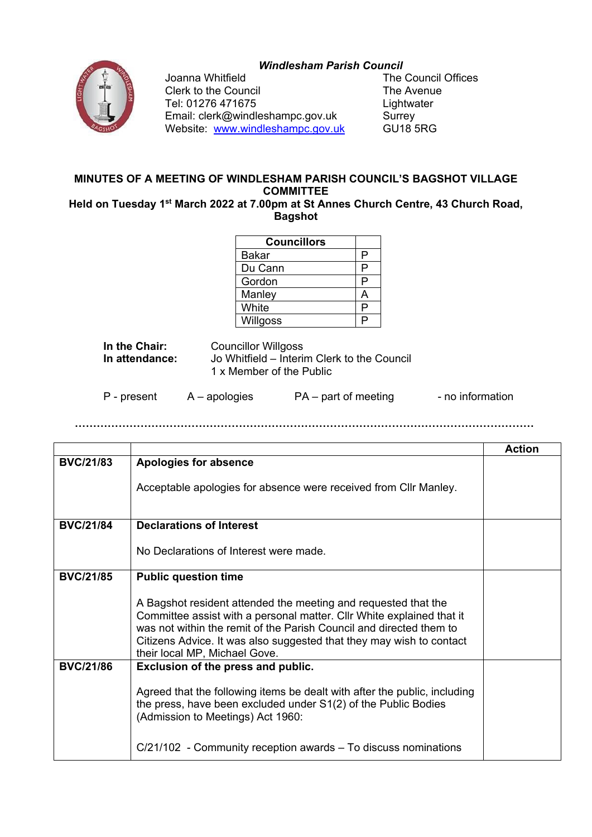## *Windlesham Parish Council*



Joanna Whitfield<br>
Clerk to the Council<br>
Clerk to the Council Clerk to the Council The Avenue Tel: 01276 471675<br>Email: clerk@windleshampc.gov.uk Surrey Email: clerk@windleshampc.gov.uk Surrey<br>Website: www.windleshampc.gov.uk GU18 5RG Website: www.windleshampc.gov.uk

## **MINUTES OF A MEETING OF WINDLESHAM PARISH COUNCIL'S BAGSHOT VILLAGE COMMITTEE**

**Held on Tuesday 1st March 2022 at 7.00pm at St Annes Church Centre, 43 Church Road, Bagshot**

| <b>Councillors</b> |   |
|--------------------|---|
| <b>Bakar</b>       | p |
| Du Cann            | D |
| Gordon             | Р |
| Manley             |   |
| White              | D |
| Willgoss           | c |

| In the Chair:  | <b>Councillor Willgoss</b>                  |
|----------------|---------------------------------------------|
| In attendance: | Jo Whitfield – Interim Clerk to the Council |
|                | 1 x Member of the Public                    |

| P - present | $A -$ apologies | $PA$ – part of meeting | - no information |
|-------------|-----------------|------------------------|------------------|
|-------------|-----------------|------------------------|------------------|

**………………………………………………………………………………………………………………**

|                  |                                                                                                                                                                                                                                                                                                                         | <b>Action</b> |
|------------------|-------------------------------------------------------------------------------------------------------------------------------------------------------------------------------------------------------------------------------------------------------------------------------------------------------------------------|---------------|
| <b>BVC/21/83</b> | <b>Apologies for absence</b>                                                                                                                                                                                                                                                                                            |               |
|                  | Acceptable apologies for absence were received from Cllr Manley.                                                                                                                                                                                                                                                        |               |
| <b>BVC/21/84</b> | <b>Declarations of Interest</b>                                                                                                                                                                                                                                                                                         |               |
|                  | No Declarations of Interest were made.                                                                                                                                                                                                                                                                                  |               |
| <b>BVC/21/85</b> | <b>Public question time</b>                                                                                                                                                                                                                                                                                             |               |
|                  | A Bagshot resident attended the meeting and requested that the<br>Committee assist with a personal matter. Cllr White explained that it<br>was not within the remit of the Parish Council and directed them to<br>Citizens Advice. It was also suggested that they may wish to contact<br>their local MP, Michael Gove. |               |
| <b>BVC/21/86</b> | Exclusion of the press and public.                                                                                                                                                                                                                                                                                      |               |
|                  | Agreed that the following items be dealt with after the public, including<br>the press, have been excluded under S1(2) of the Public Bodies<br>(Admission to Meetings) Act 1960:                                                                                                                                        |               |
|                  | C/21/102 - Community reception awards – To discuss nominations                                                                                                                                                                                                                                                          |               |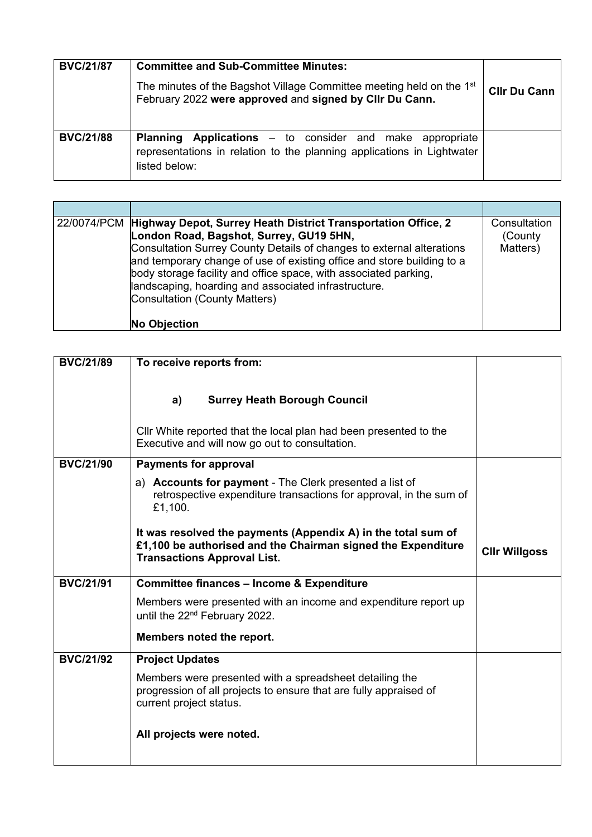| <b>BVC/21/87</b> | <b>Committee and Sub-Committee Minutes:</b><br>The minutes of the Bagshot Village Committee meeting held on the 1 <sup>st</sup><br>February 2022 were approved and signed by Cllr Du Cann. | <b>CIIr Du Cann</b> |
|------------------|--------------------------------------------------------------------------------------------------------------------------------------------------------------------------------------------|---------------------|
| <b>BVC/21/88</b> | <b>Planning Applications</b> – to consider and make appropriate<br>representations in relation to the planning applications in Lightwater<br>listed below:                                 |                     |

| 22/0074/PCM Highway Depot, Surrey Heath District Transportation Office, 2<br>London Road, Bagshot, Surrey, GU19 5HN,<br>Consultation Surrey County Details of changes to external alterations<br>and temporary change of use of existing office and store building to a<br>body storage facility and office space, with associated parking,<br>landscaping, hoarding and associated infrastructure.<br><b>Consultation (County Matters)</b><br><b>No Objection</b> | Consultation<br>(County)<br>Matters) |
|--------------------------------------------------------------------------------------------------------------------------------------------------------------------------------------------------------------------------------------------------------------------------------------------------------------------------------------------------------------------------------------------------------------------------------------------------------------------|--------------------------------------|

| <b>BVC/21/89</b> | To receive reports from:                                                                                                                                            |                      |
|------------------|---------------------------------------------------------------------------------------------------------------------------------------------------------------------|----------------------|
|                  | <b>Surrey Heath Borough Council</b><br>a)                                                                                                                           |                      |
|                  | Cllr White reported that the local plan had been presented to the<br>Executive and will now go out to consultation.                                                 |                      |
| <b>BVC/21/90</b> | <b>Payments for approval</b>                                                                                                                                        |                      |
|                  | a) Accounts for payment - The Clerk presented a list of<br>retrospective expenditure transactions for approval, in the sum of<br>£1,100.                            |                      |
|                  | It was resolved the payments (Appendix A) in the total sum of<br>£1,100 be authorised and the Chairman signed the Expenditure<br><b>Transactions Approval List.</b> | <b>Cllr Willgoss</b> |
| <b>BVC/21/91</b> | <b>Committee finances - Income &amp; Expenditure</b>                                                                                                                |                      |
|                  | Members were presented with an income and expenditure report up<br>until the 22 <sup>nd</sup> February 2022.                                                        |                      |
|                  | Members noted the report.                                                                                                                                           |                      |
| <b>BVC/21/92</b> | <b>Project Updates</b>                                                                                                                                              |                      |
|                  | Members were presented with a spreadsheet detailing the<br>progression of all projects to ensure that are fully appraised of<br>current project status.             |                      |
|                  | All projects were noted.                                                                                                                                            |                      |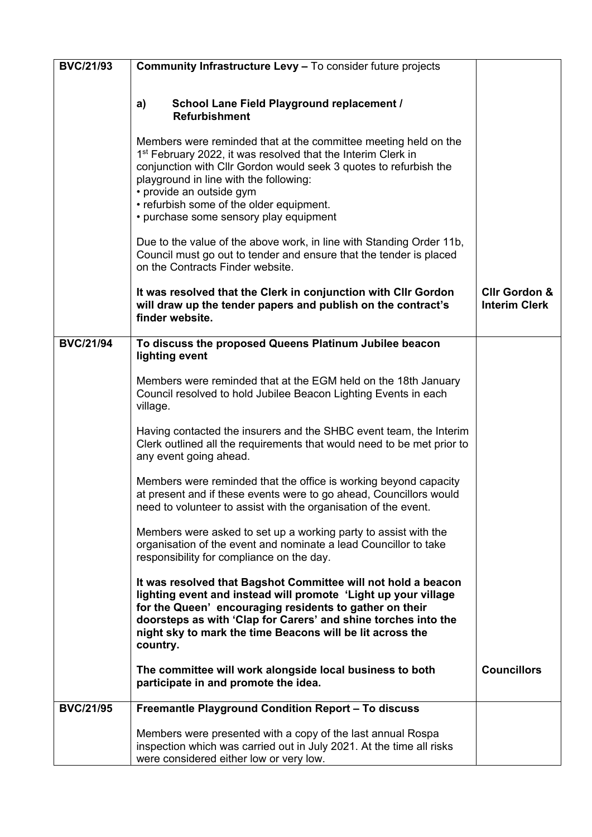| <b>BVC/21/93</b> | <b>Community Infrastructure Levy - To consider future projects</b>                                                                                                                                                                                                                                                                    |                                                  |
|------------------|---------------------------------------------------------------------------------------------------------------------------------------------------------------------------------------------------------------------------------------------------------------------------------------------------------------------------------------|--------------------------------------------------|
|                  |                                                                                                                                                                                                                                                                                                                                       |                                                  |
|                  | School Lane Field Playground replacement /<br>a)<br><b>Refurbishment</b>                                                                                                                                                                                                                                                              |                                                  |
|                  | Members were reminded that at the committee meeting held on the<br>1 <sup>st</sup> February 2022, it was resolved that the Interim Clerk in<br>conjunction with Cllr Gordon would seek 3 quotes to refurbish the<br>playground in line with the following:<br>• provide an outside gym                                                |                                                  |
|                  | • refurbish some of the older equipment.<br>• purchase some sensory play equipment                                                                                                                                                                                                                                                    |                                                  |
|                  | Due to the value of the above work, in line with Standing Order 11b,<br>Council must go out to tender and ensure that the tender is placed<br>on the Contracts Finder website.                                                                                                                                                        |                                                  |
|                  | It was resolved that the Clerk in conjunction with Cllr Gordon<br>will draw up the tender papers and publish on the contract's<br>finder website.                                                                                                                                                                                     | <b>Cllr Gordon &amp;</b><br><b>Interim Clerk</b> |
| <b>BVC/21/94</b> | To discuss the proposed Queens Platinum Jubilee beacon<br>lighting event                                                                                                                                                                                                                                                              |                                                  |
|                  | Members were reminded that at the EGM held on the 18th January<br>Council resolved to hold Jubilee Beacon Lighting Events in each<br>village.                                                                                                                                                                                         |                                                  |
|                  | Having contacted the insurers and the SHBC event team, the Interim<br>Clerk outlined all the requirements that would need to be met prior to<br>any event going ahead.                                                                                                                                                                |                                                  |
|                  | Members were reminded that the office is working beyond capacity<br>at present and if these events were to go ahead, Councillors would<br>need to volunteer to assist with the organisation of the event.                                                                                                                             |                                                  |
|                  | Members were asked to set up a working party to assist with the<br>organisation of the event and nominate a lead Councillor to take<br>responsibility for compliance on the day.                                                                                                                                                      |                                                  |
|                  | It was resolved that Bagshot Committee will not hold a beacon<br>lighting event and instead will promote 'Light up your village<br>for the Queen' encouraging residents to gather on their<br>doorsteps as with 'Clap for Carers' and shine torches into the<br>night sky to mark the time Beacons will be lit across the<br>country. |                                                  |
|                  | The committee will work alongside local business to both<br>participate in and promote the idea.                                                                                                                                                                                                                                      | <b>Councillors</b>                               |
| <b>BVC/21/95</b> | Freemantle Playground Condition Report - To discuss                                                                                                                                                                                                                                                                                   |                                                  |
|                  | Members were presented with a copy of the last annual Rospa<br>inspection which was carried out in July 2021. At the time all risks<br>were considered either low or very low.                                                                                                                                                        |                                                  |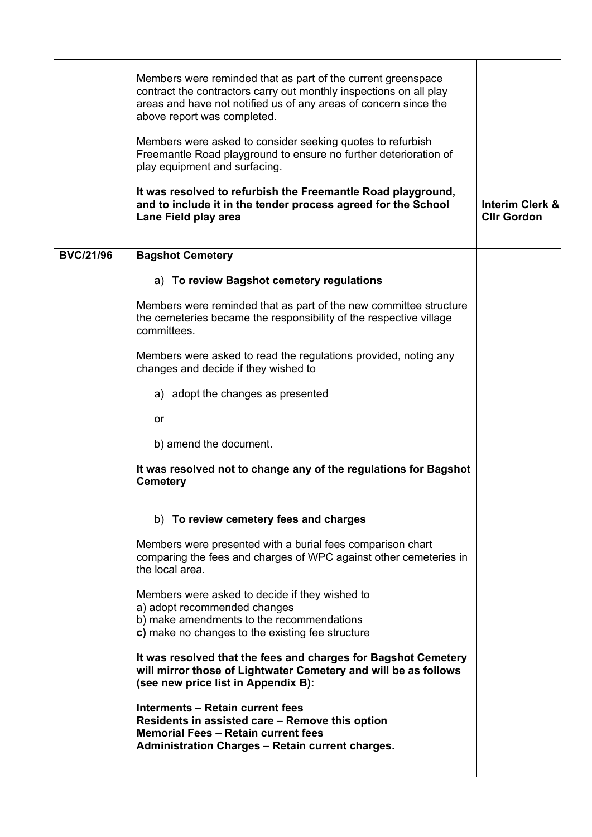|                  | Members were reminded that as part of the current greenspace<br>contract the contractors carry out monthly inspections on all play<br>areas and have not notified us of any areas of concern since the<br>above report was completed.<br>Members were asked to consider seeking quotes to refurbish<br>Freemantle Road playground to ensure no further deterioration of<br>play equipment and surfacing.<br>It was resolved to refurbish the Freemantle Road playground, |                                                  |
|------------------|--------------------------------------------------------------------------------------------------------------------------------------------------------------------------------------------------------------------------------------------------------------------------------------------------------------------------------------------------------------------------------------------------------------------------------------------------------------------------|--------------------------------------------------|
|                  | and to include it in the tender process agreed for the School<br>Lane Field play area                                                                                                                                                                                                                                                                                                                                                                                    | <b>Interim Clerk &amp;</b><br><b>Cllr Gordon</b> |
| <b>BVC/21/96</b> | <b>Bagshot Cemetery</b>                                                                                                                                                                                                                                                                                                                                                                                                                                                  |                                                  |
|                  | a) To review Bagshot cemetery regulations                                                                                                                                                                                                                                                                                                                                                                                                                                |                                                  |
|                  | Members were reminded that as part of the new committee structure<br>the cemeteries became the responsibility of the respective village<br>committees.                                                                                                                                                                                                                                                                                                                   |                                                  |
|                  | Members were asked to read the regulations provided, noting any<br>changes and decide if they wished to                                                                                                                                                                                                                                                                                                                                                                  |                                                  |
|                  | a) adopt the changes as presented                                                                                                                                                                                                                                                                                                                                                                                                                                        |                                                  |
|                  | or                                                                                                                                                                                                                                                                                                                                                                                                                                                                       |                                                  |
|                  | b) amend the document.                                                                                                                                                                                                                                                                                                                                                                                                                                                   |                                                  |
|                  | It was resolved not to change any of the regulations for Bagshot<br><b>Cemetery</b>                                                                                                                                                                                                                                                                                                                                                                                      |                                                  |
|                  | b) To review cemetery fees and charges                                                                                                                                                                                                                                                                                                                                                                                                                                   |                                                  |
|                  | Members were presented with a burial fees comparison chart<br>comparing the fees and charges of WPC against other cemeteries in<br>the local area.                                                                                                                                                                                                                                                                                                                       |                                                  |
|                  | Members were asked to decide if they wished to<br>a) adopt recommended changes<br>b) make amendments to the recommendations<br>c) make no changes to the existing fee structure                                                                                                                                                                                                                                                                                          |                                                  |
|                  | It was resolved that the fees and charges for Bagshot Cemetery<br>will mirror those of Lightwater Cemetery and will be as follows<br>(see new price list in Appendix B):                                                                                                                                                                                                                                                                                                 |                                                  |
|                  | <b>Interments - Retain current fees</b><br>Residents in assisted care – Remove this option<br><b>Memorial Fees - Retain current fees</b><br><b>Administration Charges - Retain current charges.</b>                                                                                                                                                                                                                                                                      |                                                  |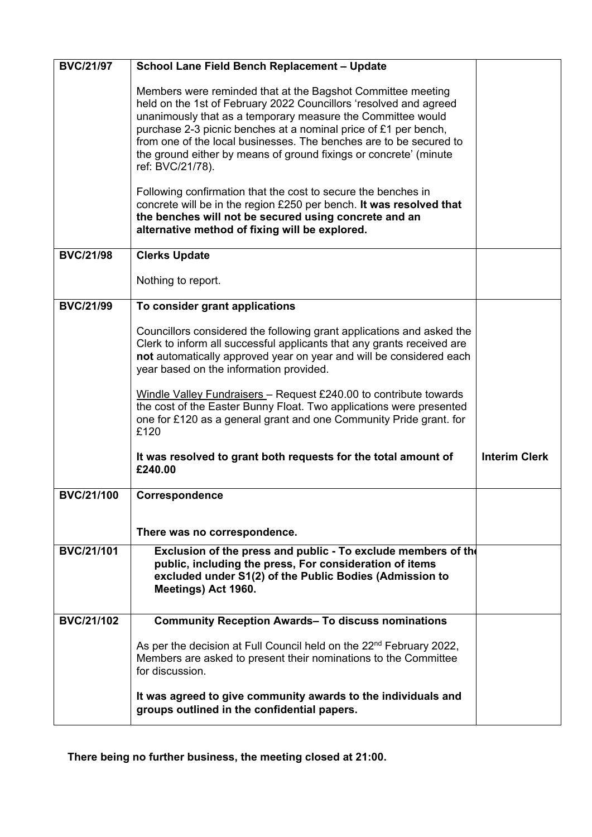| <b>BVC/21/97</b>  | <b>School Lane Field Bench Replacement - Update</b>                                                                                                                                                                                                                                                                                                                                                                               |                      |
|-------------------|-----------------------------------------------------------------------------------------------------------------------------------------------------------------------------------------------------------------------------------------------------------------------------------------------------------------------------------------------------------------------------------------------------------------------------------|----------------------|
|                   | Members were reminded that at the Bagshot Committee meeting<br>held on the 1st of February 2022 Councillors 'resolved and agreed<br>unanimously that as a temporary measure the Committee would<br>purchase 2-3 picnic benches at a nominal price of £1 per bench,<br>from one of the local businesses. The benches are to be secured to<br>the ground either by means of ground fixings or concrete' (minute<br>ref: BVC/21/78). |                      |
|                   | Following confirmation that the cost to secure the benches in<br>concrete will be in the region £250 per bench. It was resolved that<br>the benches will not be secured using concrete and an<br>alternative method of fixing will be explored.                                                                                                                                                                                   |                      |
| <b>BVC/21/98</b>  | <b>Clerks Update</b>                                                                                                                                                                                                                                                                                                                                                                                                              |                      |
|                   | Nothing to report.                                                                                                                                                                                                                                                                                                                                                                                                                |                      |
| <b>BVC/21/99</b>  | To consider grant applications                                                                                                                                                                                                                                                                                                                                                                                                    |                      |
|                   | Councillors considered the following grant applications and asked the<br>Clerk to inform all successful applicants that any grants received are<br>not automatically approved year on year and will be considered each<br>year based on the information provided.                                                                                                                                                                 |                      |
|                   | Windle Valley Fundraisers - Request £240.00 to contribute towards<br>the cost of the Easter Bunny Float. Two applications were presented<br>one for £120 as a general grant and one Community Pride grant. for<br>£120                                                                                                                                                                                                            |                      |
|                   | It was resolved to grant both requests for the total amount of<br>£240.00                                                                                                                                                                                                                                                                                                                                                         | <b>Interim Clerk</b> |
| <b>BVC/21/100</b> | Correspondence                                                                                                                                                                                                                                                                                                                                                                                                                    |                      |
|                   | There was no correspondence.                                                                                                                                                                                                                                                                                                                                                                                                      |                      |
| <b>BVC/21/101</b> | Exclusion of the press and public - To exclude members of the<br>public, including the press, For consideration of items<br>excluded under S1(2) of the Public Bodies (Admission to<br>Meetings) Act 1960.                                                                                                                                                                                                                        |                      |
| <b>BVC/21/102</b> | <b>Community Reception Awards- To discuss nominations</b>                                                                                                                                                                                                                                                                                                                                                                         |                      |
|                   | As per the decision at Full Council held on the 22 <sup>nd</sup> February 2022,<br>Members are asked to present their nominations to the Committee<br>for discussion.                                                                                                                                                                                                                                                             |                      |
|                   | It was agreed to give community awards to the individuals and<br>groups outlined in the confidential papers.                                                                                                                                                                                                                                                                                                                      |                      |

**There being no further business, the meeting closed at 21:00.**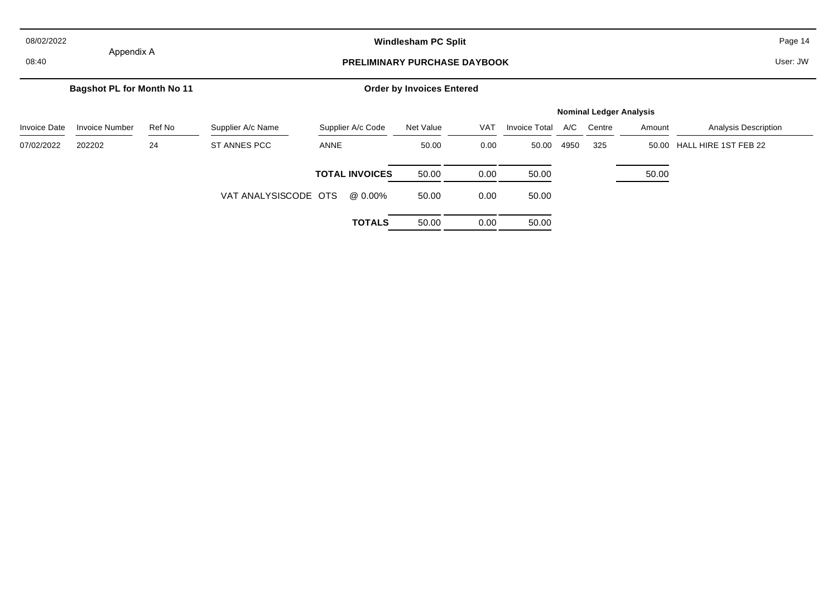| 08/02/2022          |                                   |                                                   | <b>Windlesham PC Split</b> |                       |                                  |            |                      |      |                                | Page 14  |                             |
|---------------------|-----------------------------------|---------------------------------------------------|----------------------------|-----------------------|----------------------------------|------------|----------------------|------|--------------------------------|----------|-----------------------------|
| 08:40               |                                   | Appendix A<br><b>PRELIMINARY PURCHASE DAYBOOK</b> |                            |                       |                                  |            |                      |      |                                | User: JW |                             |
|                     | <b>Bagshot PL for Month No 11</b> |                                                   |                            |                       | <b>Order by Invoices Entered</b> |            |                      |      |                                |          |                             |
|                     |                                   |                                                   |                            |                       |                                  |            |                      |      | <b>Nominal Ledger Analysis</b> |          |                             |
| <b>Invoice Date</b> | <b>Invoice Number</b>             | Ref No                                            | Supplier A/c Name          | Supplier A/c Code     | Net Value                        | <b>VAT</b> | <b>Invoice Total</b> | A/C  | Centre                         | Amount   | <b>Analysis Description</b> |
| 07/02/2022          | 202202                            | 24                                                | ST ANNES PCC               | ANNE                  | 50.00                            | 0.00       | 50.00                | 4950 | 325                            |          | 50.00 HALL HIRE 1ST FEB 22  |
|                     |                                   |                                                   |                            | <b>TOTAL INVOICES</b> | 50.00                            | 0.00       | 50.00                |      |                                | 50.00    |                             |
|                     |                                   |                                                   | VAT ANALYSISCODE OTS       | @ 0.00%               | 50.00                            | 0.00       | 50.00                |      |                                |          |                             |
|                     |                                   |                                                   |                            | <b>TOTALS</b>         | 50.00                            | 0.00       | 50.00                |      |                                |          |                             |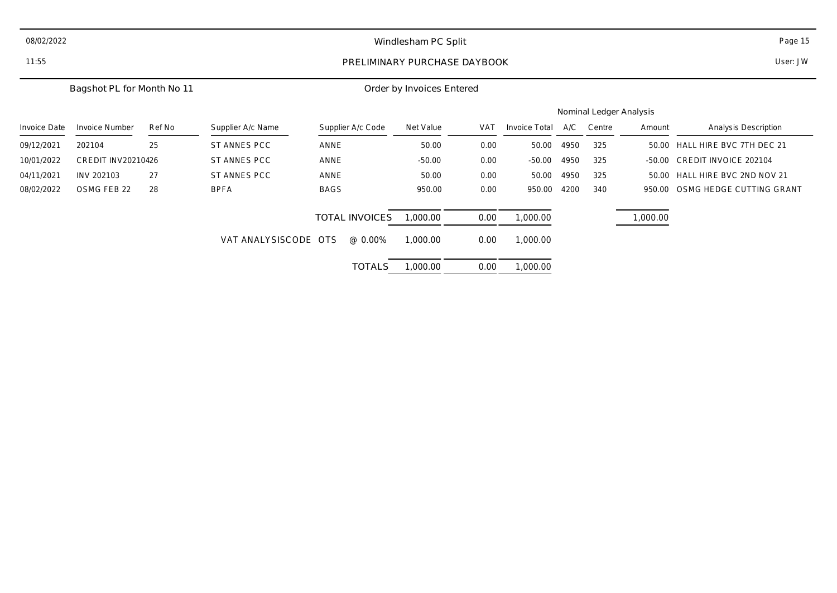| 08/02/2022   |                            |        |                      |                              | Windlesham PC Split       |            |               |      |                         |          | Page 15                      |  |
|--------------|----------------------------|--------|----------------------|------------------------------|---------------------------|------------|---------------|------|-------------------------|----------|------------------------------|--|
| 11:55        |                            |        |                      | PRELIMINARY PURCHASE DAYBOOK |                           |            |               |      |                         |          | User: JW                     |  |
|              | Bagshot PL for Month No 11 |        |                      |                              | Order by Invoices Entered |            |               |      |                         |          |                              |  |
|              |                            |        |                      |                              |                           |            |               |      | Nominal Ledger Analysis |          |                              |  |
| Invoice Date | <b>Invoice Number</b>      | Ref No | Supplier A/c Name    | Supplier A/c Code            | Net Value                 | <b>VAT</b> | Invoice Total | A/C  | Centre                  | Amount   | Analysis Description         |  |
| 09/12/2021   | 202104                     | 25     | ST ANNES PCC         | ANNE                         | 50.00                     | 0.00       | 50.00         | 4950 | 325                     | 50.00    | HALL HIRE BVC 7TH DEC 21     |  |
| 10/01/2022   | CREDIT INV20210426         |        | ST ANNES PCC         | ANNE                         | $-50.00$                  | 0.00       | $-50.00$      | 4950 | 325                     | $-50.00$ | <b>CREDIT INVOICE 202104</b> |  |
| 04/11/2021   | INV 202103                 | 27     | ST ANNES PCC         | ANNE                         | 50.00                     | 0.00       | 50.00         | 4950 | 325                     | 50.00    | HALL HIRE BVC 2ND NOV 21     |  |
| 08/02/2022   | OSMG FEB 22                | 28     | <b>BPFA</b>          | <b>BAGS</b>                  | 950.00                    | 0.00       | 950.00        | 4200 | 340                     | 950.00   | OSMG HEDGE CUTTING GRANT     |  |
|              |                            |        |                      | <b>TOTAL INVOICES</b>        | 1,000.00                  | 0.00       | 1,000.00      |      |                         | 1,000.00 |                              |  |
|              |                            |        | VAT ANALYSISCODE OTS | @ 0.00%                      | 1,000.00                  | 0.00       | 1,000.00      |      |                         |          |                              |  |
|              |                            |        |                      | <b>TOTALS</b>                | 1,000.00                  | 0.00       | 1,000.00      |      |                         |          |                              |  |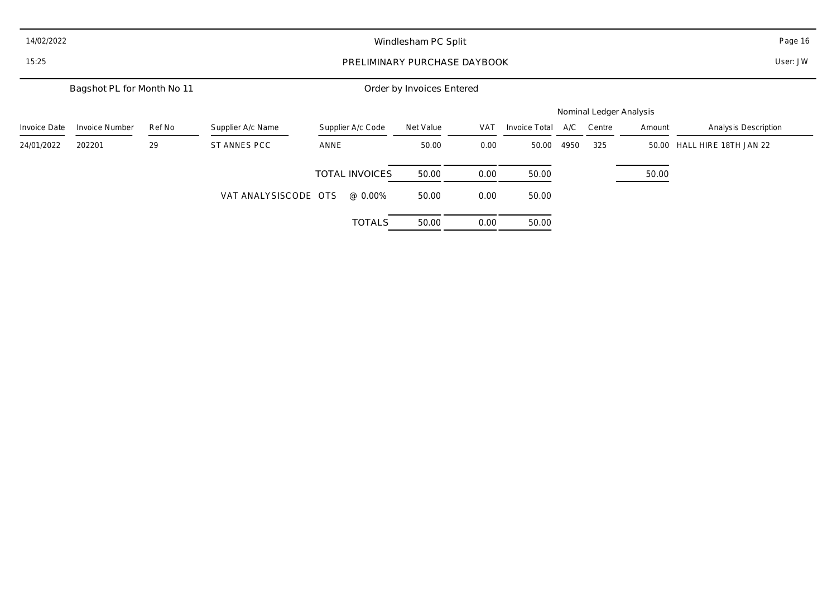| 14/02/2022          |                            |        | Windlesham PC Split                      |                       |           |            |               |      |                         |        | Page 16                     |
|---------------------|----------------------------|--------|------------------------------------------|-----------------------|-----------|------------|---------------|------|-------------------------|--------|-----------------------------|
| 15:25               |                            |        | User: JW<br>PRELIMINARY PURCHASE DAYBOOK |                       |           |            |               |      |                         |        |                             |
|                     | Bagshot PL for Month No 11 |        | Order by Invoices Entered                |                       |           |            |               |      |                         |        |                             |
|                     |                            |        |                                          |                       |           |            |               |      | Nominal Ledger Analysis |        |                             |
| <b>Invoice Date</b> | <b>Invoice Number</b>      | Ref No | Supplier A/c Name                        | Supplier A/c Code     | Net Value | <b>VAT</b> | Invoice Total | A/C  | Centre                  | Amount | Analysis Description        |
| 24/01/2022          | 202201                     | 29     | ST ANNES PCC                             | ANNE                  | 50.00     | 0.00       | 50.00         | 4950 | 325                     |        | 50.00 HALL HIRE 18TH JAN 22 |
|                     |                            |        |                                          | <b>TOTAL INVOICES</b> | 50.00     | 0.00       | 50.00         |      |                         | 50.00  |                             |
|                     |                            |        | VAT ANALYSISCODE OTS                     | @ 0.00%               | 50.00     | 0.00       | 50.00         |      |                         |        |                             |
|                     |                            |        |                                          | <b>TOTALS</b>         | 50.00     | 0.00       | 50.00         |      |                         |        |                             |